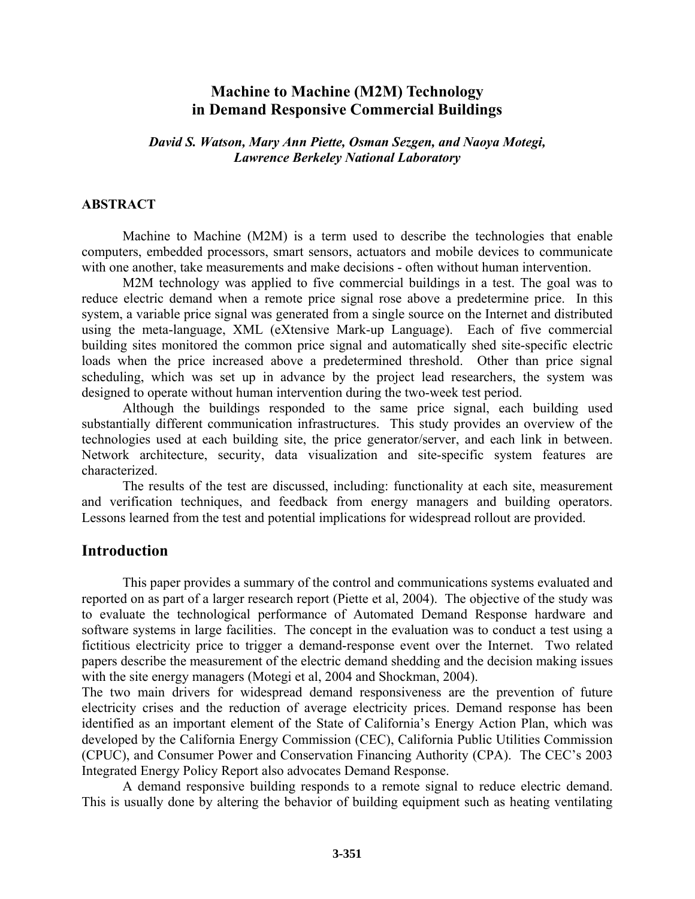# **Machine to Machine (M2M) Technology in Demand Responsive Commercial Buildings**

## *David S. Watson, Mary Ann Piette, Osman Sezgen, and Naoya Motegi, Lawrence Berkeley National Laboratory*

### **ABSTRACT**

Machine to Machine (M2M) is a term used to describe the technologies that enable computers, embedded processors, smart sensors, actuators and mobile devices to communicate with one another, take measurements and make decisions - often without human intervention.

M2M technology was applied to five commercial buildings in a test. The goal was to reduce electric demand when a remote price signal rose above a predetermine price. In this system, a variable price signal was generated from a single source on the Internet and distributed using the meta-language, XML (eXtensive Mark-up Language). Each of five commercial building sites monitored the common price signal and automatically shed site-specific electric loads when the price increased above a predetermined threshold. Other than price signal scheduling, which was set up in advance by the project lead researchers, the system was designed to operate without human intervention during the two-week test period.

Although the buildings responded to the same price signal, each building used substantially different communication infrastructures. This study provides an overview of the technologies used at each building site, the price generator/server, and each link in between. Network architecture, security, data visualization and site-specific system features are characterized.

The results of the test are discussed, including: functionality at each site, measurement and verification techniques, and feedback from energy managers and building operators. Lessons learned from the test and potential implications for widespread rollout are provided.

## **Introduction**

This paper provides a summary of the control and communications systems evaluated and reported on as part of a larger research report (Piette et al, 2004). The objective of the study was to evaluate the technological performance of Automated Demand Response hardware and software systems in large facilities. The concept in the evaluation was to conduct a test using a fictitious electricity price to trigger a demand-response event over the Internet. Two related papers describe the measurement of the electric demand shedding and the decision making issues with the site energy managers (Motegi et al, 2004 and Shockman, 2004).

The two main drivers for widespread demand responsiveness are the prevention of future electricity crises and the reduction of average electricity prices. Demand response has been identified as an important element of the State of California's Energy Action Plan, which was developed by the California Energy Commission (CEC), California Public Utilities Commission (CPUC), and Consumer Power and Conservation Financing Authority (CPA). The CEC's 2003 Integrated Energy Policy Report also advocates Demand Response.

A demand responsive building responds to a remote signal to reduce electric demand. This is usually done by altering the behavior of building equipment such as heating ventilating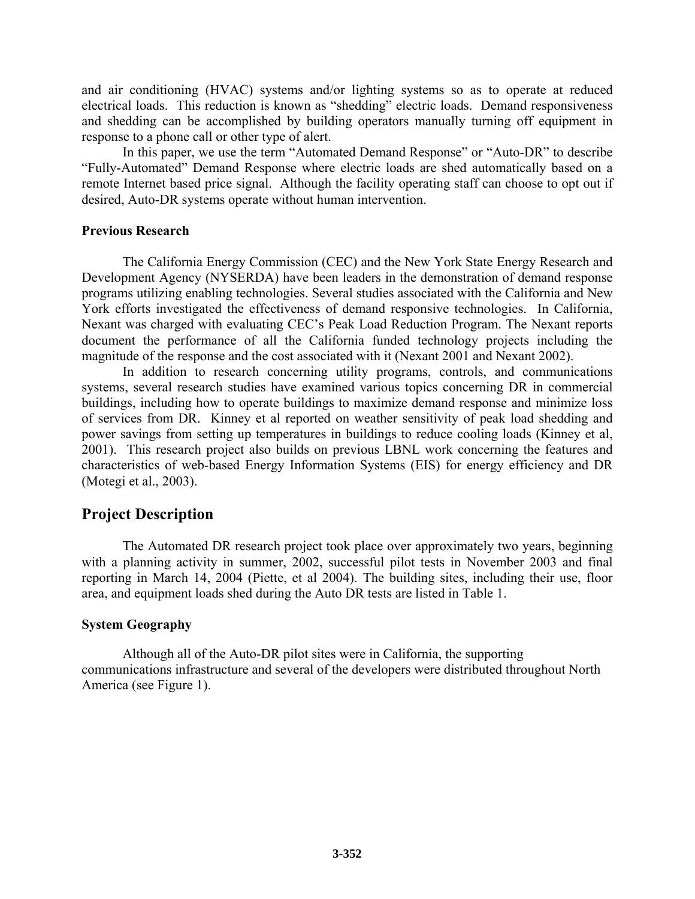and air conditioning (HVAC) systems and/or lighting systems so as to operate at reduced electrical loads. This reduction is known as "shedding" electric loads. Demand responsiveness and shedding can be accomplished by building operators manually turning off equipment in response to a phone call or other type of alert.

In this paper, we use the term "Automated Demand Response" or "Auto-DR" to describe "Fully-Automated" Demand Response where electric loads are shed automatically based on a remote Internet based price signal. Although the facility operating staff can choose to opt out if desired, Auto-DR systems operate without human intervention.

#### **Previous Research**

The California Energy Commission (CEC) and the New York State Energy Research and Development Agency (NYSERDA) have been leaders in the demonstration of demand response programs utilizing enabling technologies. Several studies associated with the California and New York efforts investigated the effectiveness of demand responsive technologies. In California, Nexant was charged with evaluating CEC's Peak Load Reduction Program. The Nexant reports document the performance of all the California funded technology projects including the magnitude of the response and the cost associated with it (Nexant 2001 and Nexant 2002).

In addition to research concerning utility programs, controls, and communications systems, several research studies have examined various topics concerning DR in commercial buildings, including how to operate buildings to maximize demand response and minimize loss of services from DR. Kinney et al reported on weather sensitivity of peak load shedding and power savings from setting up temperatures in buildings to reduce cooling loads (Kinney et al, 2001). This research project also builds on previous LBNL work concerning the features and characteristics of web-based Energy Information Systems (EIS) for energy efficiency and DR (Motegi et al., 2003).

# **Project Description**

The Automated DR research project took place over approximately two years, beginning with a planning activity in summer, 2002, successful pilot tests in November 2003 and final reporting in March 14, 2004 (Piette, et al 2004). The building sites, including their use, floor area, and equipment loads shed during the Auto DR tests are listed in Table 1.

## **System Geography**

Although all of the Auto-DR pilot sites were in California, the supporting communications infrastructure and several of the developers were distributed throughout North America (see Figure 1).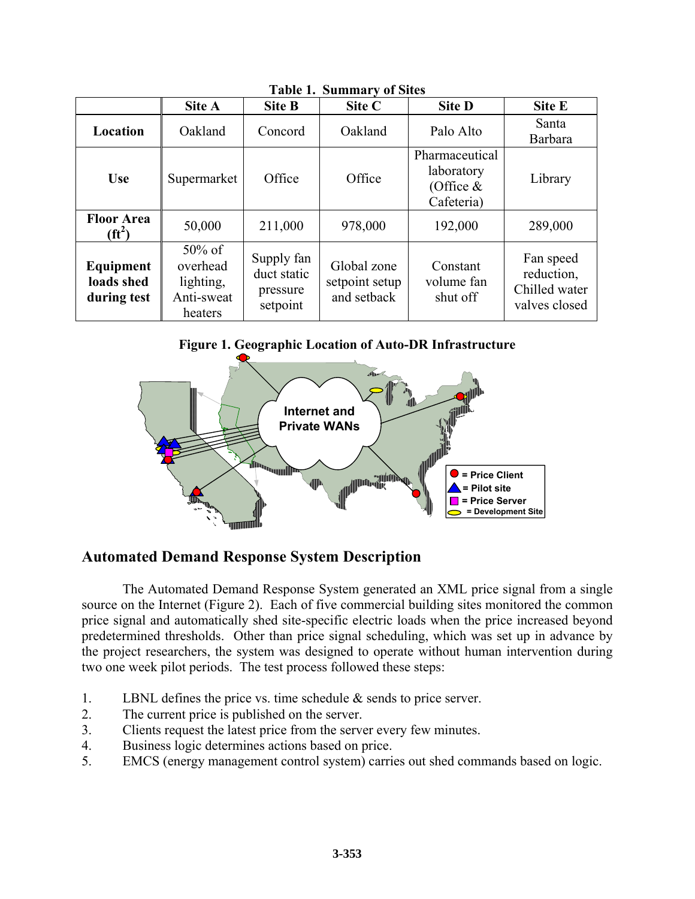|                                        | L'abit 1. Summat v'oi Sites                                 |                                                   |                                              |                                                            |                                                           |
|----------------------------------------|-------------------------------------------------------------|---------------------------------------------------|----------------------------------------------|------------------------------------------------------------|-----------------------------------------------------------|
|                                        | Site A                                                      | <b>Site B</b>                                     | Site C                                       | <b>Site D</b>                                              | Site E                                                    |
| Location                               | Oakland                                                     | Concord                                           | Oakland                                      | Palo Alto                                                  | Santa<br><b>Barbara</b>                                   |
| <b>Use</b><br><b>Floor Area</b>        | Supermarket                                                 | Office                                            | Office                                       | Pharmaceutical<br>laboratory<br>(Office $\&$<br>Cafeteria) | Library                                                   |
| $(f t^2)$                              | 50,000                                                      | 211,000                                           | 978,000                                      | 192,000                                                    | 289,000                                                   |
| Equipment<br>loads shed<br>during test | $50\%$ of<br>overhead<br>lighting,<br>Anti-sweat<br>heaters | Supply fan<br>duct static<br>pressure<br>setpoint | Global zone<br>setpoint setup<br>and setback | Constant<br>volume fan<br>shut off                         | Fan speed<br>reduction,<br>Chilled water<br>valves closed |

**Table 1. Summary of Sites** 





# **Automated Demand Response System Description**

The Automated Demand Response System generated an XML price signal from a single source on the Internet (Figure 2). Each of five commercial building sites monitored the common price signal and automatically shed site-specific electric loads when the price increased beyond predetermined thresholds. Other than price signal scheduling, which was set up in advance by the project researchers, the system was designed to operate without human intervention during two one week pilot periods. The test process followed these steps:

- 1. LBNL defines the price vs. time schedule & sends to price server.
- 2. The current price is published on the server.
- 3. Clients request the latest price from the server every few minutes.
- 4. Business logic determines actions based on price.
- 5. EMCS (energy management control system) carries out shed commands based on logic.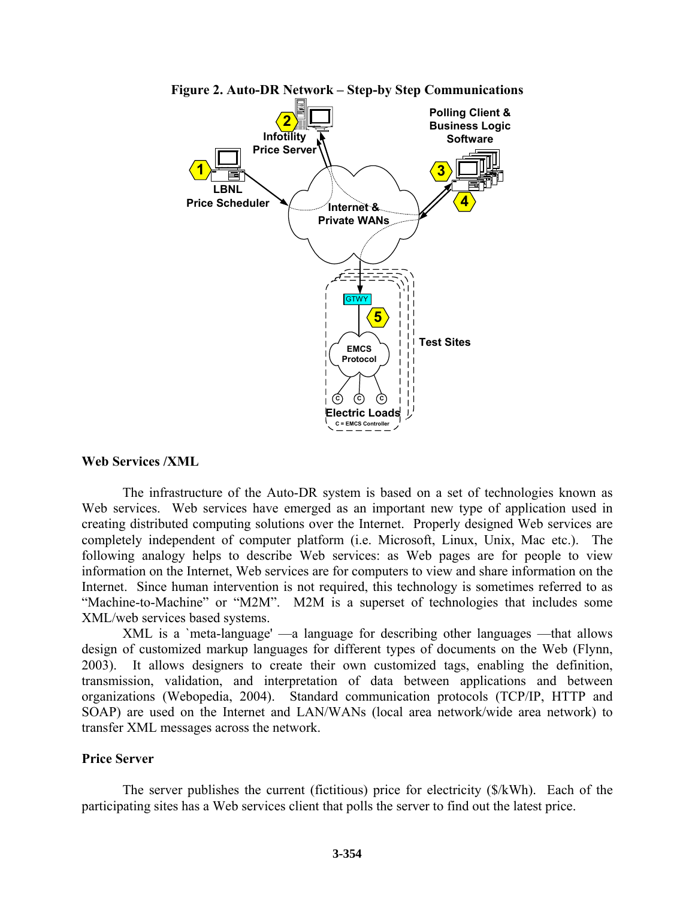

#### **Web Services /XML**

The infrastructure of the Auto-DR system is based on a set of technologies known as Web services. Web services have emerged as an important new type of application used in creating distributed computing solutions over the Internet. Properly designed Web services are completely independent of computer platform (i.e. Microsoft, Linux, Unix, Mac etc.). The following analogy helps to describe Web services: as Web pages are for people to view information on the Internet, Web services are for computers to view and share information on the Internet. Since human intervention is not required, this technology is sometimes referred to as "Machine-to-Machine" or "M2M". M2M is a superset of technologies that includes some XML/web services based systems.

XML is a `meta-language' —a language for describing other languages —that allows design of customized markup languages for different types of documents on the Web (Flynn, 2003). It allows designers to create their own customized tags, enabling the definition, transmission, validation, and interpretation of data between applications and between organizations (Webopedia, 2004). Standard communication protocols (TCP/IP, HTTP and SOAP) are used on the Internet and LAN/WANs (local area network/wide area network) to transfer XML messages across the network.

#### **Price Server**

The server publishes the current (fictitious) price for electricity (\$/kWh). Each of the participating sites has a Web services client that polls the server to find out the latest price.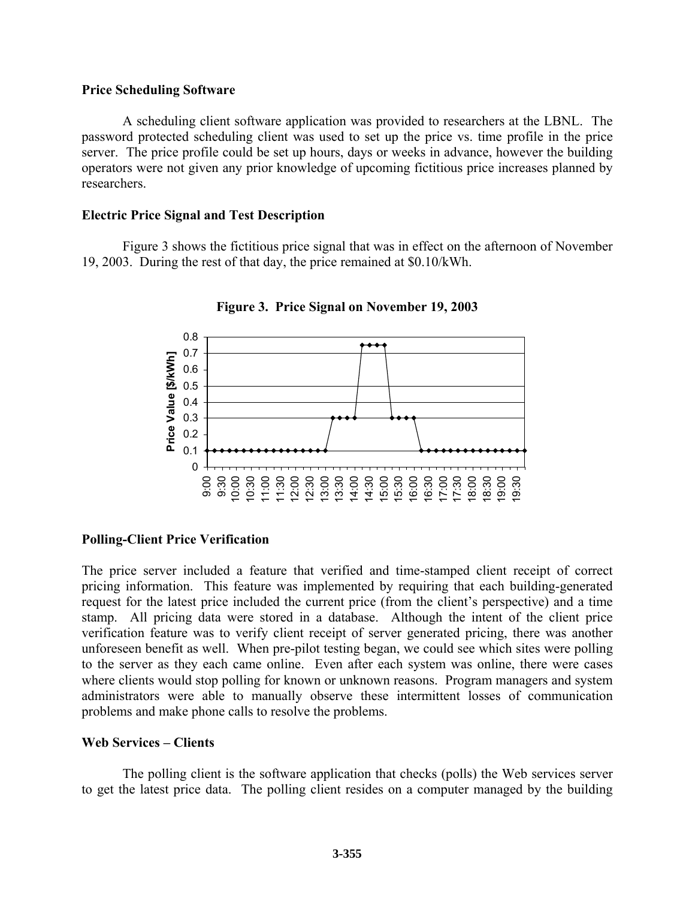## **Price Scheduling Software**

A scheduling client software application was provided to researchers at the LBNL. The password protected scheduling client was used to set up the price vs. time profile in the price server. The price profile could be set up hours, days or weeks in advance, however the building operators were not given any prior knowledge of upcoming fictitious price increases planned by researchers.

## **Electric Price Signal and Test Description**

Figure 3 shows the fictitious price signal that was in effect on the afternoon of November 19, 2003. During the rest of that day, the price remained at \$0.10/kWh.



**Figure 3. Price Signal on November 19, 2003** 

# **Polling-Client Price Verification**

The price server included a feature that verified and time-stamped client receipt of correct pricing information. This feature was implemented by requiring that each building-generated request for the latest price included the current price (from the client's perspective) and a time stamp. All pricing data were stored in a database. Although the intent of the client price verification feature was to verify client receipt of server generated pricing, there was another unforeseen benefit as well. When pre-pilot testing began, we could see which sites were polling to the server as they each came online. Even after each system was online, there were cases where clients would stop polling for known or unknown reasons. Program managers and system administrators were able to manually observe these intermittent losses of communication problems and make phone calls to resolve the problems.

# **Web Services – Clients**

The polling client is the software application that checks (polls) the Web services server to get the latest price data. The polling client resides on a computer managed by the building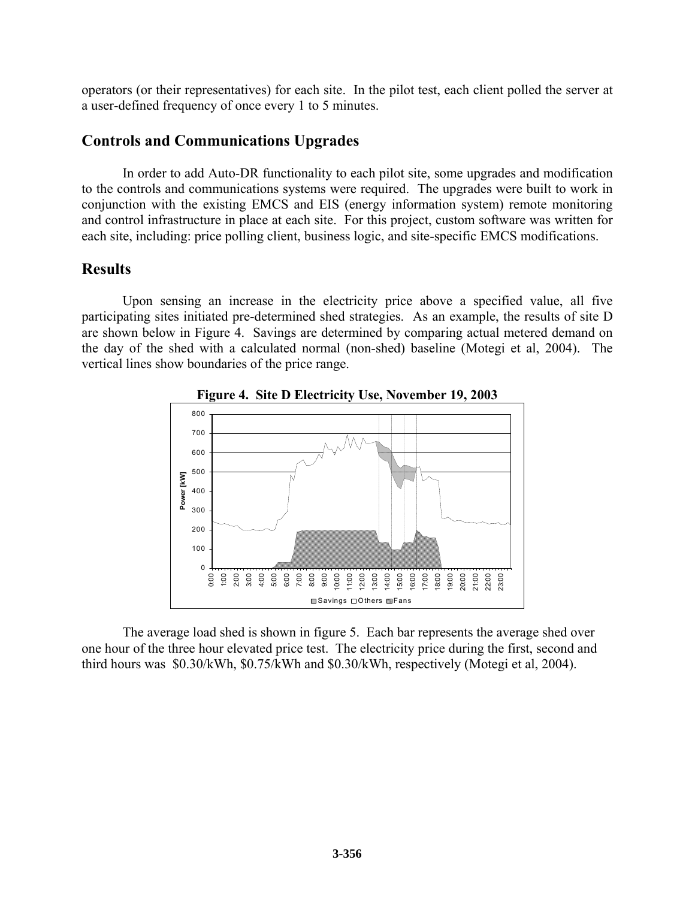operators (or their representatives) for each site. In the pilot test, each client polled the server at a user-defined frequency of once every 1 to 5 minutes.

# **Controls and Communications Upgrades**

In order to add Auto-DR functionality to each pilot site, some upgrades and modification to the controls and communications systems were required. The upgrades were built to work in conjunction with the existing EMCS and EIS (energy information system) remote monitoring and control infrastructure in place at each site. For this project, custom software was written for each site, including: price polling client, business logic, and site-specific EMCS modifications.

# **Results**

Upon sensing an increase in the electricity price above a specified value, all five participating sites initiated pre-determined shed strategies. As an example, the results of site D are shown below in Figure 4. Savings are determined by comparing actual metered demand on the day of the shed with a calculated normal (non-shed) baseline (Motegi et al, 2004). The vertical lines show boundaries of the price range.





The average load shed is shown in figure 5. Each bar represents the average shed over one hour of the three hour elevated price test. The electricity price during the first, second and third hours was \$0.30/kWh, \$0.75/kWh and \$0.30/kWh, respectively (Motegi et al, 2004).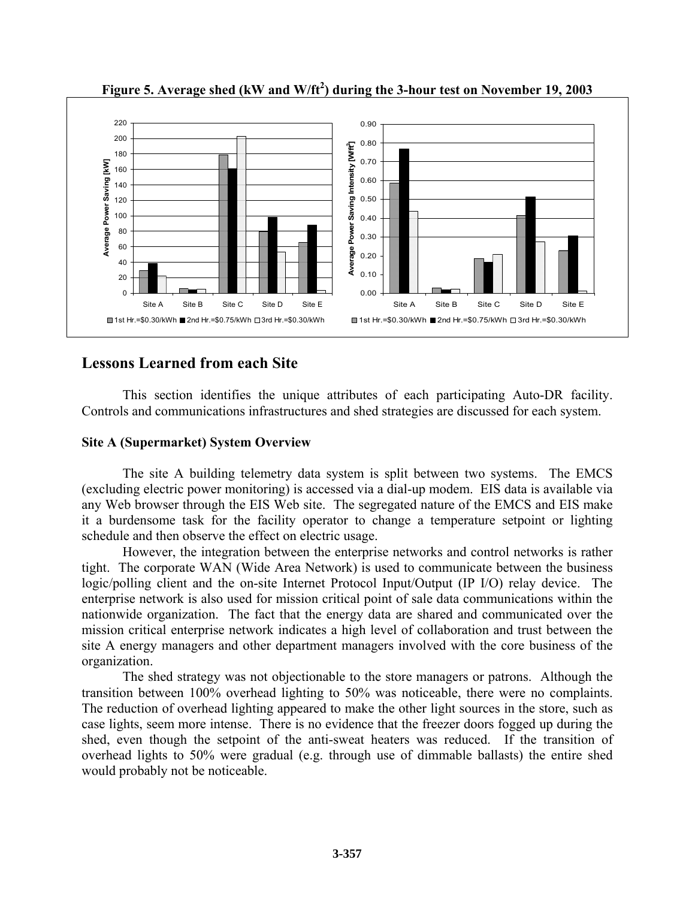

Figure 5. Average shed (kW and W/ft<sup>2</sup>) during the 3-hour test on November 19, 2003

# **Lessons Learned from each Site**

This section identifies the unique attributes of each participating Auto-DR facility. Controls and communications infrastructures and shed strategies are discussed for each system.

#### **Site A (Supermarket) System Overview**

The site A building telemetry data system is split between two systems. The EMCS (excluding electric power monitoring) is accessed via a dial-up modem. EIS data is available via any Web browser through the EIS Web site. The segregated nature of the EMCS and EIS make it a burdensome task for the facility operator to change a temperature setpoint or lighting schedule and then observe the effect on electric usage.

However, the integration between the enterprise networks and control networks is rather tight. The corporate WAN (Wide Area Network) is used to communicate between the business logic/polling client and the on-site Internet Protocol Input/Output (IP I/O) relay device. The enterprise network is also used for mission critical point of sale data communications within the nationwide organization. The fact that the energy data are shared and communicated over the mission critical enterprise network indicates a high level of collaboration and trust between the site A energy managers and other department managers involved with the core business of the organization.

The shed strategy was not objectionable to the store managers or patrons. Although the transition between 100% overhead lighting to 50% was noticeable, there were no complaints. The reduction of overhead lighting appeared to make the other light sources in the store, such as case lights, seem more intense. There is no evidence that the freezer doors fogged up during the shed, even though the setpoint of the anti-sweat heaters was reduced. If the transition of overhead lights to 50% were gradual (e.g. through use of dimmable ballasts) the entire shed would probably not be noticeable.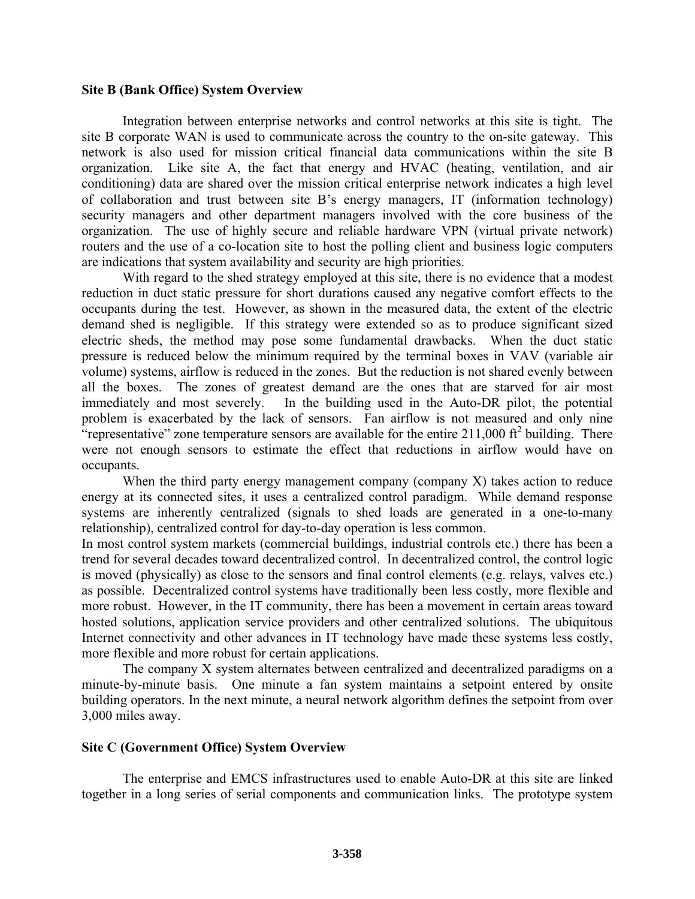#### **Site B (Bank Office) System Overview**

Integration between enterprise networks and control networks at this site is tight. The site B corporate WAN is used to communicate across the country to the on-site gateway. This network is also used for mission critical financial data communications within the site B organization. Like site A, the fact that energy and HVAC (heating, ventilation, and air conditioning) data are shared over the mission critical enterprise network indicates a high level of collaboration and trust between site B's energy managers, IT (information technology) security managers and other department managers involved with the core business of the organization. The use of highly secure and reliable hardware VPN (virtual private network) routers and the use of a co-location site to host the polling client and business logic computers are indications that system availability and security are high priorities.

With regard to the shed strategy employed at this site, there is no evidence that a modest reduction in duct static pressure for short durations caused any negative comfort effects to the occupants during the test. However, as shown in the measured data, the extent of the electric demand shed is negligible. If this strategy were extended so as to produce significant sized electric sheds, the method may pose some fundamental drawbacks. When the duct static pressure is reduced below the minimum required by the terminal boxes in VAV (variable air volume) systems, airflow is reduced in the zones. But the reduction is not shared evenly between all the boxes. The zones of greatest demand are the ones that are starved for air most immediately and most severely. In the building used in the Auto-DR pilot, the potential problem is exacerbated by the lack of sensors. Fan airflow is not measured and only nine "representative" zone temperature sensors are available for the entire  $211,000$  ft<sup>2</sup> building. There were not enough sensors to estimate the effect that reductions in airflow would have on occupants.

When the third party energy management company (company X) takes action to reduce energy at its connected sites, it uses a centralized control paradigm. While demand response systems are inherently centralized (signals to shed loads are generated in a one-to-many relationship), centralized control for day-to-day operation is less common.

In most control system markets (commercial buildings, industrial controls etc.) there has been a trend for several decades toward decentralized control. In decentralized control, the control logic is moved (physically) as close to the sensors and final control elements (e.g. relays, valves etc.) as possible. Decentralized control systems have traditionally been less costly, more flexible and more robust. However, in the IT community, there has been a movement in certain areas toward hosted solutions, application service providers and other centralized solutions. The ubiquitous Internet connectivity and other advances in IT technology have made these systems less costly, more flexible and more robust for certain applications.

The company X system alternates between centralized and decentralized paradigms on a minute-by-minute basis. One minute a fan system maintains a setpoint entered by onsite building operators. In the next minute, a neural network algorithm defines the setpoint from over 3,000 miles away.

## **Site C (Government Office) System Overview**

The enterprise and EMCS infrastructures used to enable Auto-DR at this site are linked together in a long series of serial components and communication links. The prototype system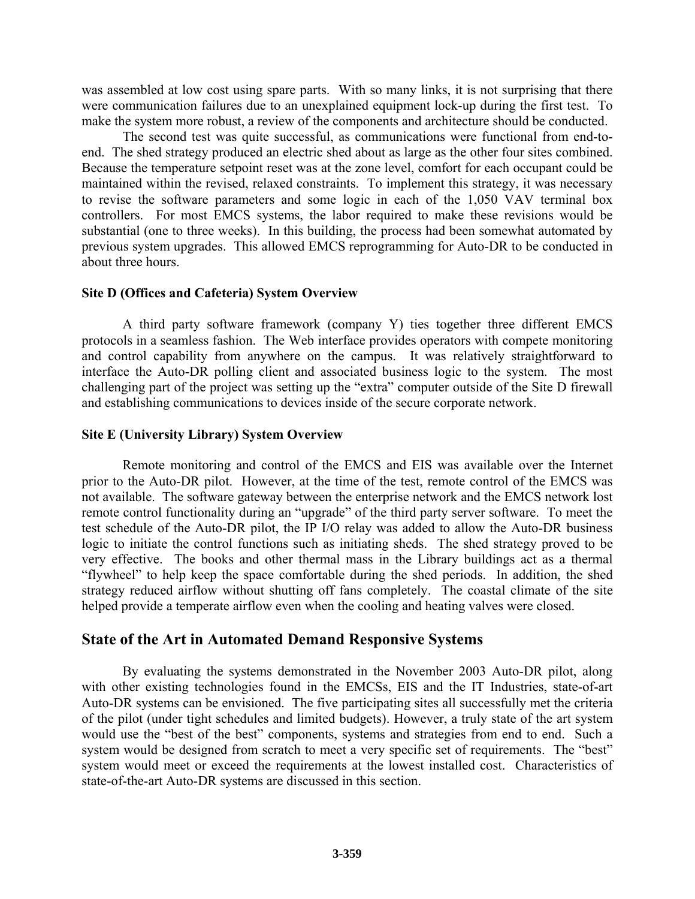was assembled at low cost using spare parts. With so many links, it is not surprising that there were communication failures due to an unexplained equipment lock-up during the first test. To make the system more robust, a review of the components and architecture should be conducted.

The second test was quite successful, as communications were functional from end-toend. The shed strategy produced an electric shed about as large as the other four sites combined. Because the temperature setpoint reset was at the zone level, comfort for each occupant could be maintained within the revised, relaxed constraints. To implement this strategy, it was necessary to revise the software parameters and some logic in each of the 1,050 VAV terminal box controllers. For most EMCS systems, the labor required to make these revisions would be substantial (one to three weeks). In this building, the process had been somewhat automated by previous system upgrades. This allowed EMCS reprogramming for Auto-DR to be conducted in about three hours.

#### **Site D (Offices and Cafeteria) System Overview**

A third party software framework (company Y) ties together three different EMCS protocols in a seamless fashion. The Web interface provides operators with compete monitoring and control capability from anywhere on the campus. It was relatively straightforward to interface the Auto-DR polling client and associated business logic to the system. The most challenging part of the project was setting up the "extra" computer outside of the Site D firewall and establishing communications to devices inside of the secure corporate network.

## **Site E (University Library) System Overview**

Remote monitoring and control of the EMCS and EIS was available over the Internet prior to the Auto-DR pilot. However, at the time of the test, remote control of the EMCS was not available. The software gateway between the enterprise network and the EMCS network lost remote control functionality during an "upgrade" of the third party server software. To meet the test schedule of the Auto-DR pilot, the IP I/O relay was added to allow the Auto-DR business logic to initiate the control functions such as initiating sheds. The shed strategy proved to be very effective. The books and other thermal mass in the Library buildings act as a thermal "flywheel" to help keep the space comfortable during the shed periods. In addition, the shed strategy reduced airflow without shutting off fans completely. The coastal climate of the site helped provide a temperate airflow even when the cooling and heating valves were closed.

# **State of the Art in Automated Demand Responsive Systems**

By evaluating the systems demonstrated in the November 2003 Auto-DR pilot, along with other existing technologies found in the EMCSs, EIS and the IT Industries, state-of-art Auto-DR systems can be envisioned. The five participating sites all successfully met the criteria of the pilot (under tight schedules and limited budgets). However, a truly state of the art system would use the "best of the best" components, systems and strategies from end to end. Such a system would be designed from scratch to meet a very specific set of requirements. The "best" system would meet or exceed the requirements at the lowest installed cost. Characteristics of state-of-the-art Auto-DR systems are discussed in this section.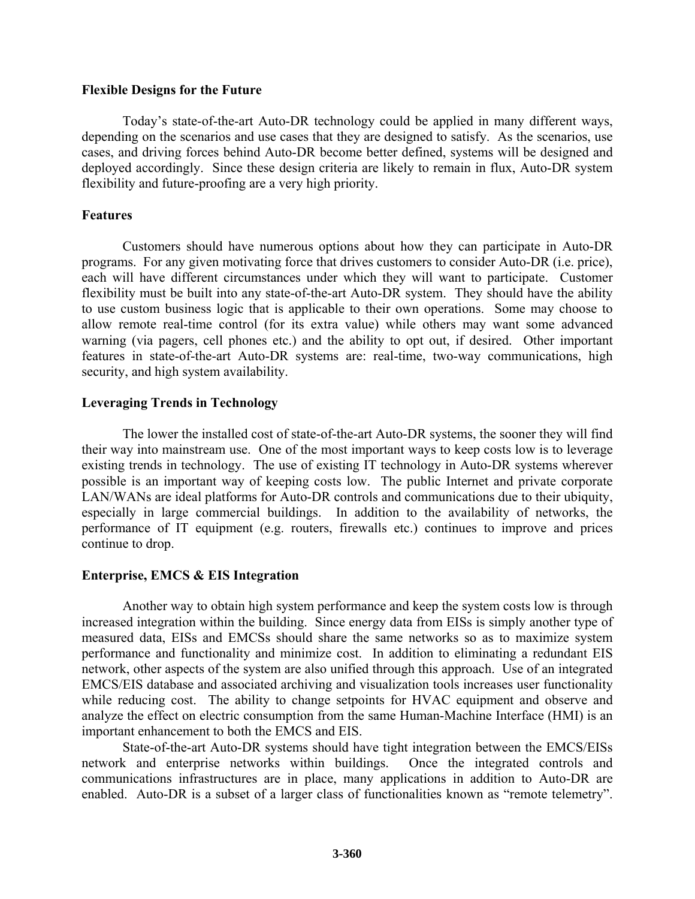#### **Flexible Designs for the Future**

Today's state-of-the-art Auto-DR technology could be applied in many different ways, depending on the scenarios and use cases that they are designed to satisfy. As the scenarios, use cases, and driving forces behind Auto-DR become better defined, systems will be designed and deployed accordingly. Since these design criteria are likely to remain in flux, Auto-DR system flexibility and future-proofing are a very high priority.

### **Features**

Customers should have numerous options about how they can participate in Auto-DR programs. For any given motivating force that drives customers to consider Auto-DR (i.e. price), each will have different circumstances under which they will want to participate. Customer flexibility must be built into any state-of-the-art Auto-DR system. They should have the ability to use custom business logic that is applicable to their own operations. Some may choose to allow remote real-time control (for its extra value) while others may want some advanced warning (via pagers, cell phones etc.) and the ability to opt out, if desired. Other important features in state-of-the-art Auto-DR systems are: real-time, two-way communications, high security, and high system availability.

## **Leveraging Trends in Technology**

The lower the installed cost of state-of-the-art Auto-DR systems, the sooner they will find their way into mainstream use. One of the most important ways to keep costs low is to leverage existing trends in technology. The use of existing IT technology in Auto-DR systems wherever possible is an important way of keeping costs low. The public Internet and private corporate LAN/WANs are ideal platforms for Auto-DR controls and communications due to their ubiquity, especially in large commercial buildings. In addition to the availability of networks, the performance of IT equipment (e.g. routers, firewalls etc.) continues to improve and prices continue to drop.

## **Enterprise, EMCS & EIS Integration**

Another way to obtain high system performance and keep the system costs low is through increased integration within the building. Since energy data from EISs is simply another type of measured data, EISs and EMCSs should share the same networks so as to maximize system performance and functionality and minimize cost. In addition to eliminating a redundant EIS network, other aspects of the system are also unified through this approach. Use of an integrated EMCS/EIS database and associated archiving and visualization tools increases user functionality while reducing cost. The ability to change setpoints for HVAC equipment and observe and analyze the effect on electric consumption from the same Human-Machine Interface (HMI) is an important enhancement to both the EMCS and EIS.

State-of-the-art Auto-DR systems should have tight integration between the EMCS/EISs network and enterprise networks within buildings. Once the integrated controls and communications infrastructures are in place, many applications in addition to Auto-DR are enabled. Auto-DR is a subset of a larger class of functionalities known as "remote telemetry".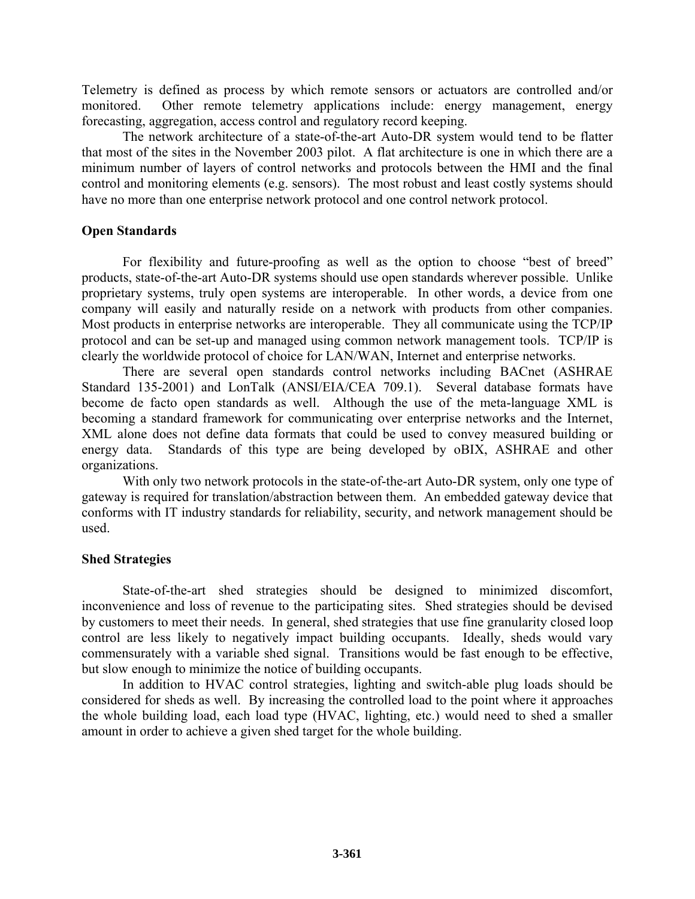Telemetry is defined as process by which remote sensors or actuators are controlled and/or monitored. Other remote telemetry applications include: energy management, energy forecasting, aggregation, access control and regulatory record keeping.

The network architecture of a state-of-the-art Auto-DR system would tend to be flatter that most of the sites in the November 2003 pilot. A flat architecture is one in which there are a minimum number of layers of control networks and protocols between the HMI and the final control and monitoring elements (e.g. sensors). The most robust and least costly systems should have no more than one enterprise network protocol and one control network protocol.

## **Open Standards**

For flexibility and future-proofing as well as the option to choose "best of breed" products, state-of-the-art Auto-DR systems should use open standards wherever possible. Unlike proprietary systems, truly open systems are interoperable. In other words, a device from one company will easily and naturally reside on a network with products from other companies. Most products in enterprise networks are interoperable. They all communicate using the TCP/IP protocol and can be set-up and managed using common network management tools. TCP/IP is clearly the worldwide protocol of choice for LAN/WAN, Internet and enterprise networks.

There are several open standards control networks including BACnet (ASHRAE Standard 135-2001) and LonTalk (ANSI/EIA/CEA 709.1). Several database formats have become de facto open standards as well. Although the use of the meta-language XML is becoming a standard framework for communicating over enterprise networks and the Internet, XML alone does not define data formats that could be used to convey measured building or energy data. Standards of this type are being developed by oBIX, ASHRAE and other organizations.

With only two network protocols in the state-of-the-art Auto-DR system, only one type of gateway is required for translation/abstraction between them. An embedded gateway device that conforms with IT industry standards for reliability, security, and network management should be used.

# **Shed Strategies**

State-of-the-art shed strategies should be designed to minimized discomfort, inconvenience and loss of revenue to the participating sites. Shed strategies should be devised by customers to meet their needs. In general, shed strategies that use fine granularity closed loop control are less likely to negatively impact building occupants. Ideally, sheds would vary commensurately with a variable shed signal. Transitions would be fast enough to be effective, but slow enough to minimize the notice of building occupants.

In addition to HVAC control strategies, lighting and switch-able plug loads should be considered for sheds as well. By increasing the controlled load to the point where it approaches the whole building load, each load type (HVAC, lighting, etc.) would need to shed a smaller amount in order to achieve a given shed target for the whole building.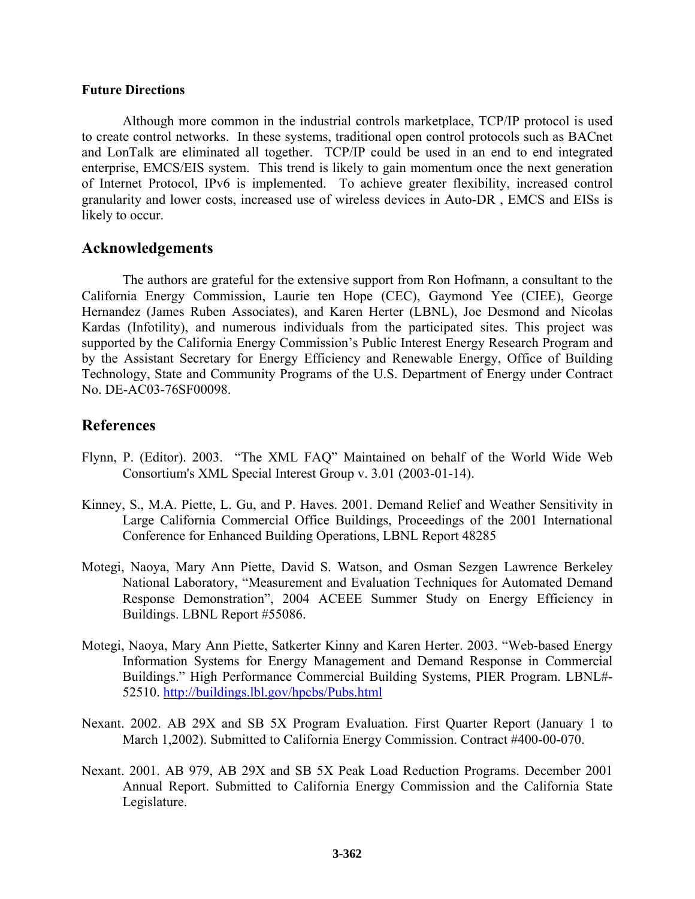#### **Future Directions**

Although more common in the industrial controls marketplace, TCP/IP protocol is used to create control networks. In these systems, traditional open control protocols such as BACnet and LonTalk are eliminated all together. TCP/IP could be used in an end to end integrated enterprise, EMCS/EIS system. This trend is likely to gain momentum once the next generation of Internet Protocol, IPv6 is implemented. To achieve greater flexibility, increased control granularity and lower costs, increased use of wireless devices in Auto-DR , EMCS and EISs is likely to occur.

# **Acknowledgements**

The authors are grateful for the extensive support from Ron Hofmann, a consultant to the California Energy Commission, Laurie ten Hope (CEC), Gaymond Yee (CIEE), George Hernandez (James Ruben Associates), and Karen Herter (LBNL), Joe Desmond and Nicolas Kardas (Infotility), and numerous individuals from the participated sites. This project was supported by the California Energy Commission's Public Interest Energy Research Program and by the Assistant Secretary for Energy Efficiency and Renewable Energy, Office of Building Technology, State and Community Programs of the U.S. Department of Energy under Contract No. DE-AC03-76SF00098.

# **References**

- Flynn, P. (Editor). 2003. "The XML FAQ" Maintained on behalf of the World Wide Web Consortium's XML Special Interest Group v. 3.01 (2003-01-14).
- Kinney, S., M.A. Piette, L. Gu, and P. Haves. 2001. Demand Relief and Weather Sensitivity in Large California Commercial Office Buildings, Proceedings of the 2001 International Conference for Enhanced Building Operations, LBNL Report 48285
- Motegi, Naoya, Mary Ann Piette, David S. Watson, and Osman Sezgen Lawrence Berkeley National Laboratory, "Measurement and Evaluation Techniques for Automated Demand Response Demonstration", 2004 ACEEE Summer Study on Energy Efficiency in Buildings. LBNL Report #55086.
- Motegi, Naoya, Mary Ann Piette, Satkerter Kinny and Karen Herter. 2003. "Web-based Energy Information Systems for Energy Management and Demand Response in Commercial Buildings." High Performance Commercial Building Systems, PIER Program. LBNL#- 52510. http://buildings.lbl.gov/hpcbs/Pubs.html
- Nexant. 2002. AB 29X and SB 5X Program Evaluation. First Quarter Report (January 1 to March 1,2002). Submitted to California Energy Commission. Contract #400-00-070.
- Nexant. 2001. AB 979, AB 29X and SB 5X Peak Load Reduction Programs. December 2001 Annual Report. Submitted to California Energy Commission and the California State Legislature.